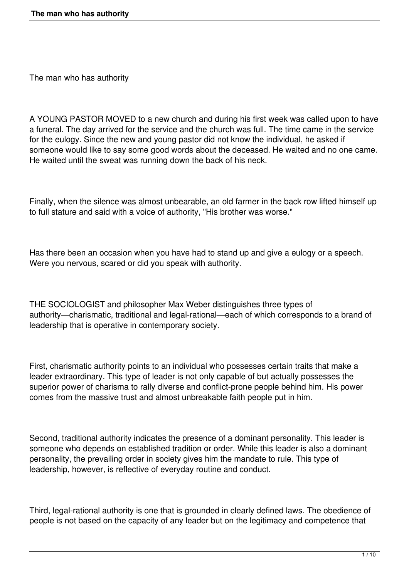The man who has authority

A YOUNG PASTOR MOVED to a new church and during his first week was called upon to have a funeral. The day arrived for the service and the church was full. The time came in the service for the eulogy. Since the new and young pastor did not know the individual, he asked if someone would like to say some good words about the deceased. He waited and no one came. He waited until the sweat was running down the back of his neck.

Finally, when the silence was almost unbearable, an old farmer in the back row lifted himself up to full stature and said with a voice of authority, "His brother was worse."

Has there been an occasion when you have had to stand up and give a eulogy or a speech. Were you nervous, scared or did you speak with authority.

THE SOCIOLOGIST and philosopher Max Weber distinguishes three types of authority—charismatic, traditional and legal-rational—each of which corresponds to a brand of leadership that is operative in contemporary society.

First, charismatic authority points to an individual who possesses certain traits that make a leader extraordinary. This type of leader is not only capable of but actually possesses the superior power of charisma to rally diverse and conflict-prone people behind him. His power comes from the massive trust and almost unbreakable faith people put in him.

Second, traditional authority indicates the presence of a dominant personality. This leader is someone who depends on established tradition or order. While this leader is also a dominant personality, the prevailing order in society gives him the mandate to rule. This type of leadership, however, is reflective of everyday routine and conduct.

Third, legal-rational authority is one that is grounded in clearly defined laws. The obedience of people is not based on the capacity of any leader but on the legitimacy and competence that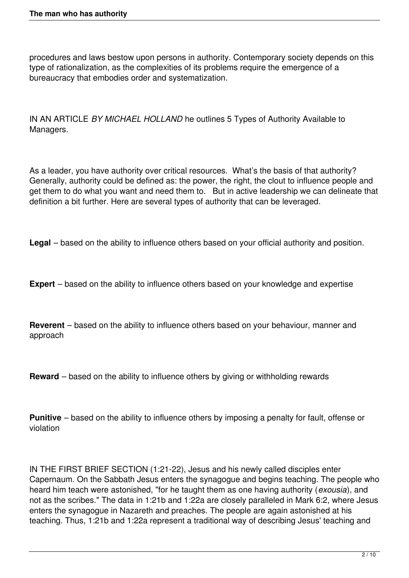procedures and laws bestow upon persons in authority. Contemporary society depends on this type of rationalization, as the complexities of its problems require the emergence of a bureaucracy that embodies order and systematization.

IN AN ARTICLE *BY MICHAEL HOLLAND* he outlines 5 Types of Authority Available to Managers.

As a leader, you have authority over critical resources. What's the basis of that authority? Generally, authority could be defined as: the power, the right, the clout to influence people and get them to do what you want and need them to. But in active leadership we can delineate that definition a bit further. Here are several types of authority that can be leveraged.

**Legal** – based on the ability to influence others based on your official authority and position.

**Expert** – based on the ability to influence others based on your knowledge and expertise

**Reverent** – based on the ability to influence others based on your behaviour, manner and approach

**Reward** – based on the ability to influence others by giving or withholding rewards

**Punitive** – based on the ability to influence others by imposing a penalty for fault, offense or violation

IN THE FIRST BRIEF SECTION (1:21-22), Jesus and his newly called disciples enter Capernaum. On the Sabbath Jesus enters the synagogue and begins teaching. The people who heard him teach were astonished, "for he taught them as one having authority (*exousia*), and not as the scribes." The data in 1:21b and 1:22a are closely paralleled in Mark 6:2, where Jesus enters the synagogue in Nazareth and preaches. The people are again astonished at his teaching. Thus, 1:21b and 1:22a represent a traditional way of describing Jesus' teaching and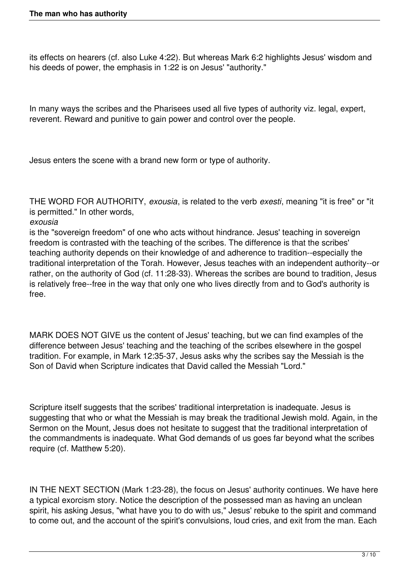its effects on hearers (cf. also Luke 4:22). But whereas Mark 6:2 highlights Jesus' wisdom and his deeds of power, the emphasis in 1:22 is on Jesus' "authority."

In many ways the scribes and the Pharisees used all five types of authority viz. legal, expert, reverent. Reward and punitive to gain power and control over the people.

Jesus enters the scene with a brand new form or type of authority.

THE WORD FOR AUTHORITY, *exousia*, is related to the verb *exesti*, meaning "it is free" or "it is permitted." In other words,

## *exousia*

is the "sovereign freedom" of one who acts without hindrance. Jesus' teaching in sovereign freedom is contrasted with the teaching of the scribes. The difference is that the scribes' teaching authority depends on their knowledge of and adherence to tradition--especially the traditional interpretation of the Torah. However, Jesus teaches with an independent authority--or rather, on the authority of God (cf. 11:28-33). Whereas the scribes are bound to tradition, Jesus is relatively free--free in the way that only one who lives directly from and to God's authority is free.

MARK DOES NOT GIVE us the content of Jesus' teaching, but we can find examples of the difference between Jesus' teaching and the teaching of the scribes elsewhere in the gospel tradition. For example, in Mark 12:35-37, Jesus asks why the scribes say the Messiah is the Son of David when Scripture indicates that David called the Messiah "Lord."

Scripture itself suggests that the scribes' traditional interpretation is inadequate. Jesus is suggesting that who or what the Messiah is may break the traditional Jewish mold. Again, in the Sermon on the Mount, Jesus does not hesitate to suggest that the traditional interpretation of the commandments is inadequate. What God demands of us goes far beyond what the scribes require (cf. Matthew 5:20).

IN THE NEXT SECTION (Mark 1:23-28), the focus on Jesus' authority continues. We have here a typical exorcism story. Notice the description of the possessed man as having an unclean spirit, his asking Jesus, "what have you to do with us," Jesus' rebuke to the spirit and command to come out, and the account of the spirit's convulsions, loud cries, and exit from the man. Each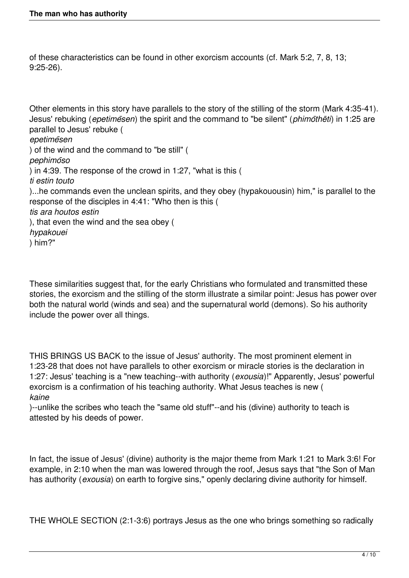of these characteristics can be found in other exorcism accounts (cf. Mark 5:2, 7, 8, 13; 9:25-26).

Other elements in this story have parallels to the story of the stilling of the storm (Mark 4:35-41). Jesus' rebuking (*epetimēsen*) the spirit and the command to "be silent" (*phimōthēti*) in 1:25 are parallel to Jesus' rebuke ( *epetimēsen* ) of the wind and the command to "be still" ( *pephimōso* ) in 4:39. The response of the crowd in 1:27, "what is this ( *ti estin touto* )...he commands even the unclean spirits, and they obey (hypakouousin) him," is parallel to the response of the disciples in 4:41: "Who then is this ( *tis ara houtos estin* ), that even the wind and the sea obey ( *hypakouei* ) him?"

These similarities suggest that, for the early Christians who formulated and transmitted these stories, the exorcism and the stilling of the storm illustrate a similar point: Jesus has power over both the natural world (winds and sea) and the supernatural world (demons). So his authority include the power over all things.

THIS BRINGS US BACK to the issue of Jesus' authority. The most prominent element in 1:23-28 that does not have parallels to other exorcism or miracle stories is the declaration in 1:27: Jesus' teaching is a "new teaching--with authority (*exousia*)!" Apparently, Jesus' powerful exorcism is a confirmation of his teaching authority. What Jesus teaches is new ( *kaine*

)--unlike the scribes who teach the "same old stuff"--and his (divine) authority to teach is attested by his deeds of power.

In fact, the issue of Jesus' (divine) authority is the major theme from Mark 1:21 to Mark 3:6! For example, in 2:10 when the man was lowered through the roof, Jesus says that "the Son of Man has authority (*exousia*) on earth to forgive sins," openly declaring divine authority for himself.

THE WHOLE SECTION (2:1-3:6) portrays Jesus as the one who brings something so radically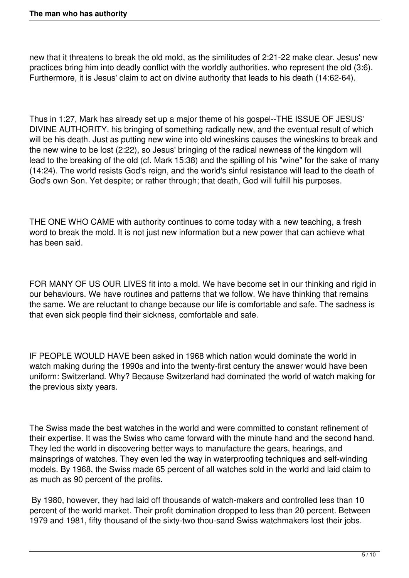new that it threatens to break the old mold, as the similitudes of 2:21-22 make clear. Jesus' new practices bring him into deadly conflict with the worldly authorities, who represent the old (3:6). Furthermore, it is Jesus' claim to act on divine authority that leads to his death (14:62-64).

Thus in 1:27, Mark has already set up a major theme of his gospel--THE ISSUE OF JESUS' DIVINE AUTHORITY, his bringing of something radically new, and the eventual result of which will be his death. Just as putting new wine into old wineskins causes the wineskins to break and the new wine to be lost (2:22), so Jesus' bringing of the radical newness of the kingdom will lead to the breaking of the old (cf. Mark 15:38) and the spilling of his "wine" for the sake of many (14:24). The world resists God's reign, and the world's sinful resistance will lead to the death of God's own Son. Yet despite; or rather through; that death, God will fulfill his purposes.

THE ONE WHO CAME with authority continues to come today with a new teaching, a fresh word to break the mold. It is not just new information but a new power that can achieve what has been said.

FOR MANY OF US OUR LIVES fit into a mold. We have become set in our thinking and rigid in our behaviours. We have routines and patterns that we follow. We have thinking that remains the same. We are reluctant to change because our life is comfortable and safe. The sadness is that even sick people find their sickness, comfortable and safe.

IF PEOPLE WOULD HAVE been asked in 1968 which nation would dominate the world in watch making during the 1990s and into the twenty-first century the answer would have been uniform: Switzerland. Why? Because Switzerland had dominated the world of watch making for the previous sixty years.

The Swiss made the best watches in the world and were committed to constant refinement of their expertise. It was the Swiss who came forward with the minute hand and the second hand. They led the world in discovering better ways to manufacture the gears, hearings, and mainsprings of watches. They even led the way in waterproofing techniques and self-winding models. By 1968, the Swiss made 65 percent of all watches sold in the world and laid claim to as much as 90 percent of the profits.

 By 1980, however, they had laid off thousands of watch-makers and controlled less than 10 percent of the world market. Their profit domination dropped to less than 20 percent. Between 1979 and 1981, fifty thousand of the sixty-two thou-sand Swiss watchmakers lost their jobs.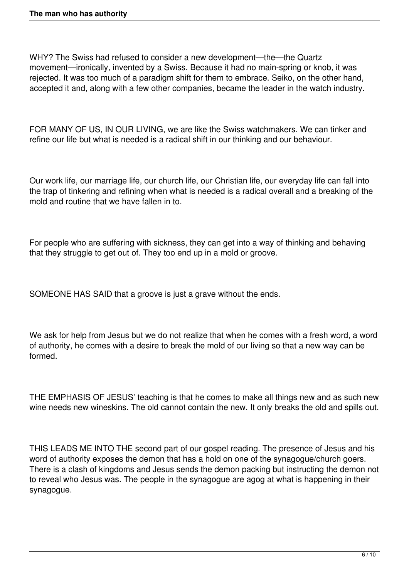WHY? The Swiss had refused to consider a new development—the—the Quartz movement—ironically, invented by a Swiss. Because it had no main-spring or knob, it was rejected. It was too much of a paradigm shift for them to embrace. Seiko, on the other hand, accepted it and, along with a few other companies, became the leader in the watch industry.

FOR MANY OF US, IN OUR LIVING, we are like the Swiss watchmakers. We can tinker and refine our life but what is needed is a radical shift in our thinking and our behaviour.

Our work life, our marriage life, our church life, our Christian life, our everyday life can fall into the trap of tinkering and refining when what is needed is a radical overall and a breaking of the mold and routine that we have fallen in to.

For people who are suffering with sickness, they can get into a way of thinking and behaving that they struggle to get out of. They too end up in a mold or groove.

SOMEONE HAS SAID that a groove is just a grave without the ends.

We ask for help from Jesus but we do not realize that when he comes with a fresh word, a word of authority, he comes with a desire to break the mold of our living so that a new way can be formed.

THE EMPHASIS OF JESUS' teaching is that he comes to make all things new and as such new wine needs new wineskins. The old cannot contain the new. It only breaks the old and spills out.

THIS LEADS ME INTO THE second part of our gospel reading. The presence of Jesus and his word of authority exposes the demon that has a hold on one of the synagogue/church goers. There is a clash of kingdoms and Jesus sends the demon packing but instructing the demon not to reveal who Jesus was. The people in the synagogue are agog at what is happening in their synagogue.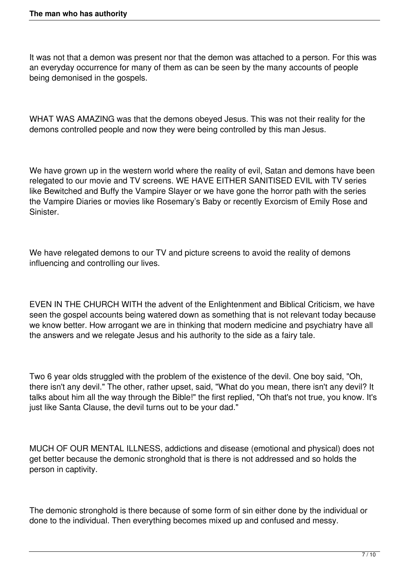It was not that a demon was present nor that the demon was attached to a person. For this was an everyday occurrence for many of them as can be seen by the many accounts of people being demonised in the gospels.

WHAT WAS AMAZING was that the demons obeyed Jesus. This was not their reality for the demons controlled people and now they were being controlled by this man Jesus.

We have grown up in the western world where the reality of evil, Satan and demons have been relegated to our movie and TV screens. WE HAVE EITHER SANITISED EVIL with TV series like Bewitched and Buffy the Vampire Slayer or we have gone the horror path with the series the Vampire Diaries or movies like Rosemary's Baby or recently Exorcism of Emily Rose and Sinister.

We have relegated demons to our TV and picture screens to avoid the reality of demons influencing and controlling our lives.

EVEN IN THE CHURCH WITH the advent of the Enlightenment and Biblical Criticism, we have seen the gospel accounts being watered down as something that is not relevant today because we know better. How arrogant we are in thinking that modern medicine and psychiatry have all the answers and we relegate Jesus and his authority to the side as a fairy tale.

Two 6 year olds struggled with the problem of the existence of the devil. One boy said, "Oh, there isn't any devil." The other, rather upset, said, "What do you mean, there isn't any devil? It talks about him all the way through the Bible!" the first replied, "Oh that's not true, you know. It's just like Santa Clause, the devil turns out to be your dad."

MUCH OF OUR MENTAL ILLNESS, addictions and disease (emotional and physical) does not get better because the demonic stronghold that is there is not addressed and so holds the person in captivity.

The demonic stronghold is there because of some form of sin either done by the individual or done to the individual. Then everything becomes mixed up and confused and messy.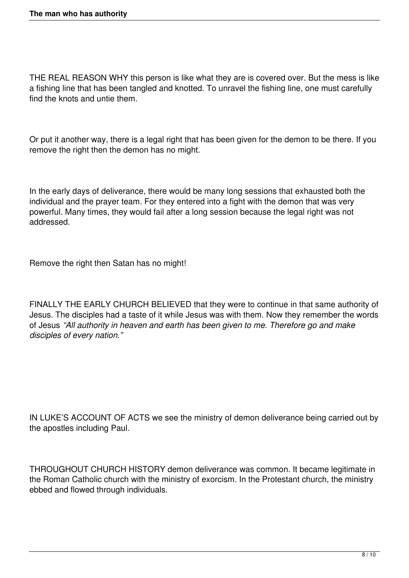THE REAL REASON WHY this person is like what they are is covered over. But the mess is like a fishing line that has been tangled and knotted. To unravel the fishing line, one must carefully find the knots and untie them.

Or put it another way, there is a legal right that has been given for the demon to be there. If you remove the right then the demon has no might.

In the early days of deliverance, there would be many long sessions that exhausted both the individual and the prayer team. For they entered into a fight with the demon that was very powerful. Many times, they would fail after a long session because the legal right was not addressed.

Remove the right then Satan has no might!

FINALLY THE EARLY CHURCH BELIEVED that they were to continue in that same authority of Jesus. The disciples had a taste of it while Jesus was with them. Now they remember the words of Jesus *"All authority in heaven and earth has been given to me. Therefore go and make disciples of every nation."*

IN LUKE'S ACCOUNT OF ACTS we see the ministry of demon deliverance being carried out by the apostles including Paul.

THROUGHOUT CHURCH HISTORY demon deliverance was common. It became legitimate in the Roman Catholic church with the ministry of exorcism. In the Protestant church, the ministry ebbed and flowed through individuals.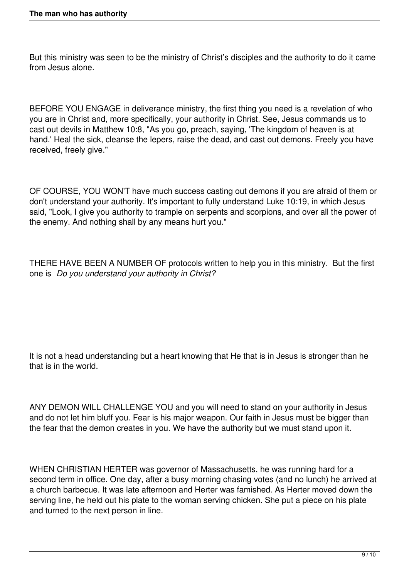But this ministry was seen to be the ministry of Christ's disciples and the authority to do it came from Jesus alone.

BEFORE YOU ENGAGE in deliverance ministry, the first thing you need is a revelation of who you are in Christ and, more specifically, your authority in Christ. See, Jesus commands us to cast out devils in Matthew 10:8, "As you go, preach, saying, 'The kingdom of heaven is at hand.' Heal the sick, cleanse the lepers, raise the dead, and cast out demons. Freely you have received, freely give."

OF COURSE, YOU WON'T have much success casting out demons if you are afraid of them or don't understand your authority. It's important to fully understand Luke 10:19, in which Jesus said, "Look, I give you authority to trample on serpents and scorpions, and over all the power of the enemy. And nothing shall by any means hurt you."

THERE HAVE BEEN A NUMBER OF protocols written to help you in this ministry. But the first one is *Do you understand your authority in Christ?*

It is not a head understanding but a heart knowing that He that is in Jesus is stronger than he that is in the world.

ANY DEMON WILL CHALLENGE YOU and you will need to stand on your authority in Jesus and do not let him bluff you. Fear is his major weapon. Our faith in Jesus must be bigger than the fear that the demon creates in you. We have the authority but we must stand upon it.

WHEN CHRISTIAN HERTER was governor of Massachusetts, he was running hard for a second term in office. One day, after a busy morning chasing votes (and no lunch) he arrived at a church barbecue. It was late afternoon and Herter was famished. As Herter moved down the serving line, he held out his plate to the woman serving chicken. She put a piece on his plate and turned to the next person in line.